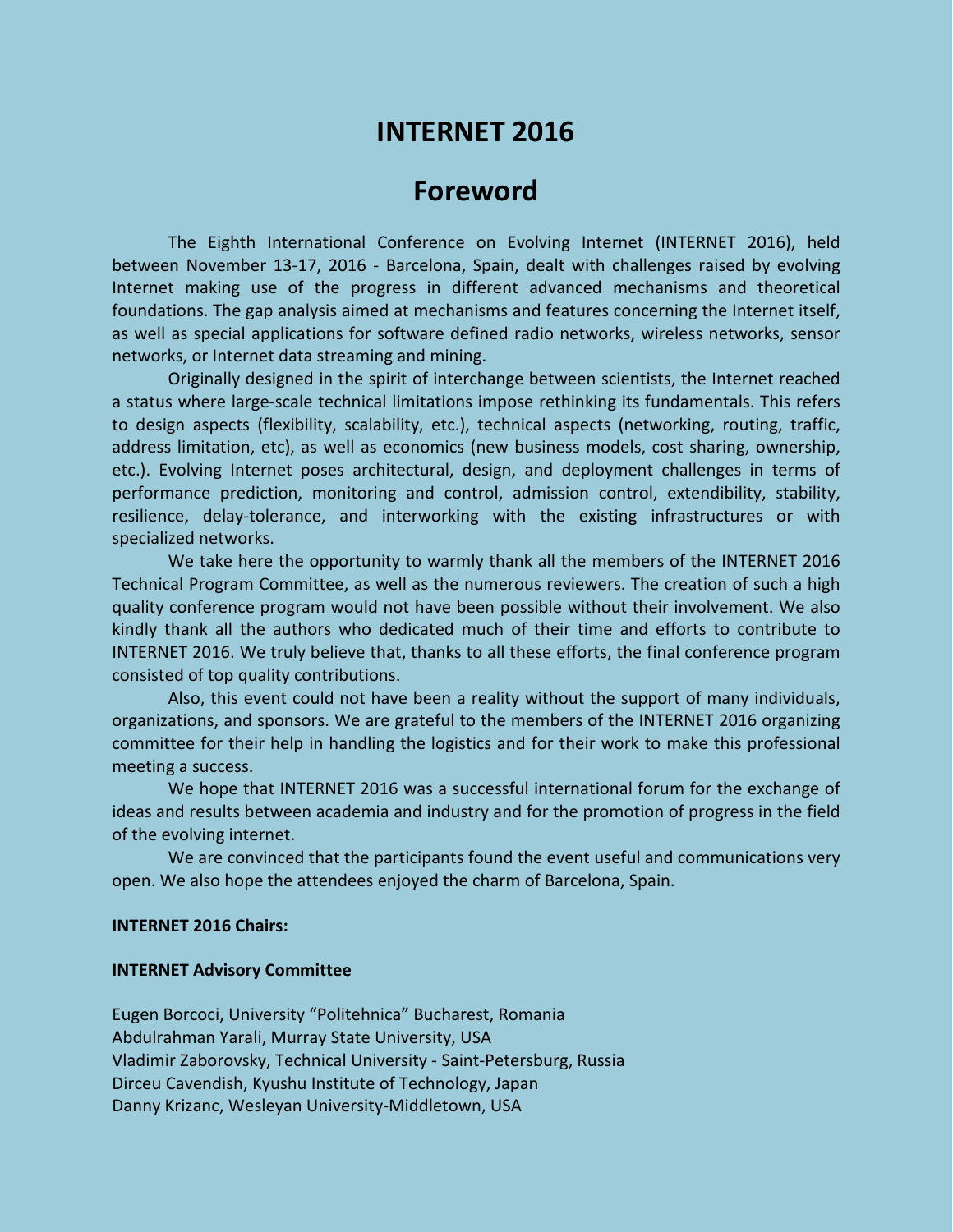# **INTERNET 2016**

## **Foreword**

The Eighth International Conference on Evolving Internet (INTERNET 2016), held between November 13-17, 2016 - Barcelona, Spain, dealt with challenges raised by evolving Internet making use of the progress in different advanced mechanisms and theoretical foundations. The gap analysis aimed at mechanisms and features concerning the Internet itself, as well as special applications for software defined radio networks, wireless networks, sensor networks, or Internet data streaming and mining.

Originally designed in the spirit of interchange between scientists, the Internet reached a status where large-scale technical limitations impose rethinking its fundamentals. This refers to design aspects (flexibility, scalability, etc.), technical aspects (networking, routing, traffic, address limitation, etc), as well as economics (new business models, cost sharing, ownership, etc.). Evolving Internet poses architectural, design, and deployment challenges in terms of performance prediction, monitoring and control, admission control, extendibility, stability, resilience, delay-tolerance, and interworking with the existing infrastructures or with specialized networks.

We take here the opportunity to warmly thank all the members of the INTERNET 2016 Technical Program Committee, as well as the numerous reviewers. The creation of such a high quality conference program would not have been possible without their involvement. We also kindly thank all the authors who dedicated much of their time and efforts to contribute to INTERNET 2016. We truly believe that, thanks to all these efforts, the final conference program consisted of top quality contributions.

Also, this event could not have been a reality without the support of many individuals, organizations, and sponsors. We are grateful to the members of the INTERNET 2016 organizing committee for their help in handling the logistics and for their work to make this professional meeting a success.

We hope that INTERNET 2016 was a successful international forum for the exchange of ideas and results between academia and industry and for the promotion of progress in the field of the evolving internet.

We are convinced that the participants found the event useful and communications very open. We also hope the attendees enjoyed the charm of Barcelona, Spain.

#### **INTERNET 2016 Chairs:**

#### **INTERNET Advisory Committee**

Eugen Borcoci, University "Politehnica" Bucharest, Romania Abdulrahman Yarali, Murray State University, USA Vladimir Zaborovsky, Technical University - Saint-Petersburg, Russia Dirceu Cavendish, Kyushu Institute of Technology, Japan Danny Krizanc, Wesleyan University-Middletown, USA